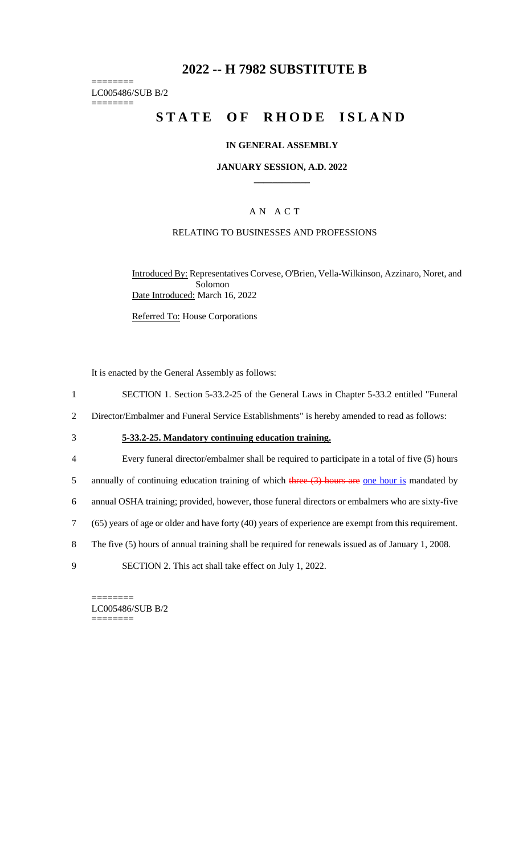# **2022 -- H 7982 SUBSTITUTE B**

======== LC005486/SUB B/2 ========

# **STATE OF RHODE ISLAND**

## **IN GENERAL ASSEMBLY**

## **JANUARY SESSION, A.D. 2022 \_\_\_\_\_\_\_\_\_\_\_\_**

## A N A C T

## RELATING TO BUSINESSES AND PROFESSIONS

Introduced By: Representatives Corvese, O'Brien, Vella-Wilkinson, Azzinaro, Noret, and Solomon Date Introduced: March 16, 2022

Referred To: House Corporations

It is enacted by the General Assembly as follows:

- 1 SECTION 1. Section 5-33.2-25 of the General Laws in Chapter 5-33.2 entitled "Funeral
- 2 Director/Embalmer and Funeral Service Establishments" is hereby amended to read as follows:
- 3 **5-33.2-25. Mandatory continuing education training.**
- 4 Every funeral director/embalmer shall be required to participate in a total of five (5) hours
- 5 annually of continuing education training of which three  $(3)$  hours are one hour is mandated by
- 6 annual OSHA training; provided, however, those funeral directors or embalmers who are sixty-five
- 7 (65) years of age or older and have forty (40) years of experience are exempt from this requirement.
- 8 The five (5) hours of annual training shall be required for renewals issued as of January 1, 2008.
- 9 SECTION 2. This act shall take effect on July 1, 2022.

LC005486/SUB B/2 ========

========